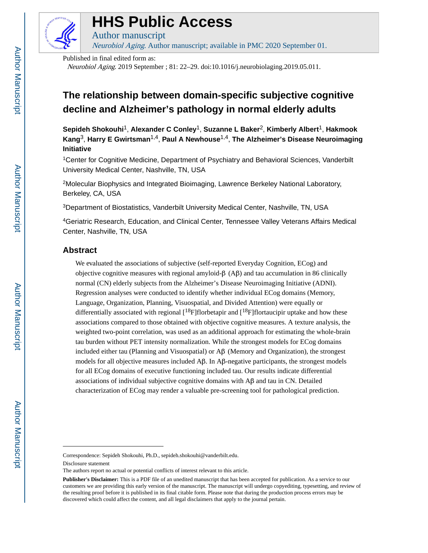

# **HHS Public Access**

Neurobiol Aging. Author manuscript; available in PMC 2020 September 01.

Published in final edited form as:

Author manuscript

Neurobiol Aging. 2019 September ; 81: 22–29. doi:10.1016/j.neurobiolaging.2019.05.011.

## **The relationship between domain-specific subjective cognitive decline and Alzheimer's pathology in normal elderly adults**

**Sepideh Shokouhi**1, **Alexander C Conley**1, **Suzanne L Baker**2, **Kimberly Albert**1, **Hakmook Kang**3, **Harry E Gwirtsman**1,4, **Paul A Newhouse**1,4, **The Alzheimer's Disease Neuroimaging Initiative**

<sup>1</sup>Center for Cognitive Medicine, Department of Psychiatry and Behavioral Sciences, Vanderbilt University Medical Center, Nashville, TN, USA

<sup>2</sup>Molecular Biophysics and Integrated Bioimaging, Lawrence Berkeley National Laboratory, Berkeley, CA, USA

<sup>3</sup>Department of Biostatistics, Vanderbilt University Medical Center, Nashville, TN, USA

<sup>4</sup>Geriatric Research, Education, and Clinical Center, Tennessee Valley Veterans Affairs Medical Center, Nashville, TN, USA

## **Abstract**

We evaluated the associations of subjective (self-reported Everyday Cognition, ECog) and objective cognitive measures with regional amyloid-β (Aβ) and tau accumulation in 86 clinically normal (CN) elderly subjects from the Alzheimer's Disease Neuroimaging Initiative (ADNI). Regression analyses were conducted to identify whether individual ECog domains (Memory, Language, Organization, Planning, Visuospatial, and Divided Attention) were equally or differentially associated with regional  $\binom{18}{16}$  florbetapir and  $\binom{18}{16}$  flortaucipir uptake and how these associations compared to those obtained with objective cognitive measures. A texture analysis, the weighted two-point correlation, was used as an additional approach for estimating the whole-brain tau burden without PET intensity normalization. While the strongest models for ECog domains included either tau (Planning and Visuospatial) or Aβ (Memory and Organization), the strongest models for all objective measures included  $\mathsf{A}\beta$ . In  $\mathsf{A}\beta$ -negative participants, the strongest models for all ECog domains of executive functioning included tau. Our results indicate differential associations of individual subjective cognitive domains with Aβ and tau in CN. Detailed characterization of ECog may render a valuable pre-screening tool for pathological prediction.

Correspondence: Sepideh Shokouhi, Ph.D., sepideh.shokouhi@vanderbilt.edu.

Disclosure statement

The authors report no actual or potential conflicts of interest relevant to this article.

**Publisher's Disclaimer:** This is a PDF file of an unedited manuscript that has been accepted for publication. As a service to our customers we are providing this early version of the manuscript. The manuscript will undergo copyediting, typesetting, and review of the resulting proof before it is published in its final citable form. Please note that during the production process errors may be discovered which could affect the content, and all legal disclaimers that apply to the journal pertain.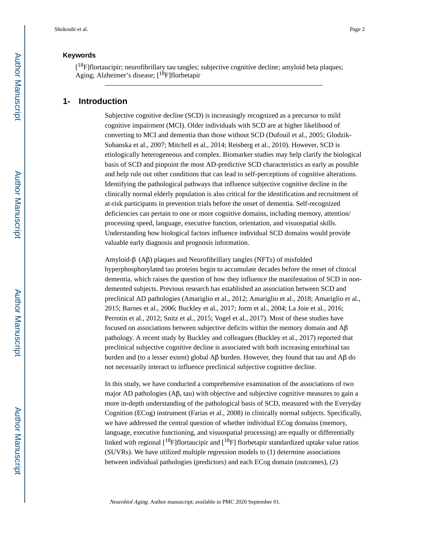## **Keywords**

[<sup>18</sup>F]flortaucipir; neurofibrillary tau tangles; subjective cognitive decline; amyloid beta plaques; Aging; Alzheimer's disease;  $[18F]$ florbetapir

## **1- Introduction**

Subjective cognitive decline (SCD) is increasingly recognized as a precursor to mild cognitive impairment (MCI). Older individuals with SCD are at higher likelihood of converting to MCI and dementia than those without SCD (Dufouil et al., 2005; Glodzik-Sobanska et al., 2007; Mitchell et al., 2014; Reisberg et al., 2010). However, SCD is etiologically heterogeneous and complex. Biomarker studies may help clarify the biological basis of SCD and pinpoint the most AD-predictive SCD characteristics as early as possible and help rule out other conditions that can lead to self-perceptions of cognitive alterations. Identifying the pathological pathways that influence subjective cognitive decline in the clinically normal elderly population is also critical for the identification and recruitment of at-risk participants in prevention trials before the onset of dementia. Self-recognized deficiencies can pertain to one or more cognitive domains, including memory, attention/ processing speed, language, executive function, orientation, and visuospatial skills. Understanding how biological factors influence individual SCD domains would provide valuable early diagnosis and prognosis information.

Amyloid-β (Aβ) plaques and Neurofibrillary tangles (NFTs) of misfolded hyperphosphorylated tau proteins begin to accumulate decades before the onset of clinical dementia, which raises the question of how they influence the manifestation of SCD in nondemented subjects. Previous research has established an association between SCD and preclinical AD pathologies (Amariglio et al., 2012; Amariglio et al., 2018; Amariglio et al., 2015; Barnes et al., 2006; Buckley et al., 2017; Jorm et al., 2004; La Joie et al., 2016; Perrotin et al., 2012; Snitz et al., 2015; Vogel et al., 2017). Most of these studies have focused on associations between subjective deficits within the memory domain and Aβ pathology. A recent study by Buckley and colleagues (Buckley et al., 2017) reported that preclinical subjective cognitive decline is associated with both increasing entorhinal tau burden and (to a lesser extent) global Aβ burden. However, they found that tau and Aβ do not necessarily interact to influence preclinical subjective cognitive decline.

In this study, we have conducted a comprehensive examination of the associations of two major AD pathologies (Aβ, tau) with objective and subjective cognitive measures to gain a more in-depth understanding of the pathological basis of SCD, measured with the Everyday Cognition (ECog) instrument (Farias et al., 2008) in clinically normal subjects. Specifically, we have addressed the central question of whether individual ECog domains (memory, language, executive functioning, and visuospatial processing) are equally or differentially linked with regional  $[18F]$ flortaucipir and  $[18F]$  florbetapir standardized uptake value ratios (SUVRs). We have utilized multiple regression models to (1) determine associations between individual pathologies (predictors) and each ECog domain (outcomes), (2)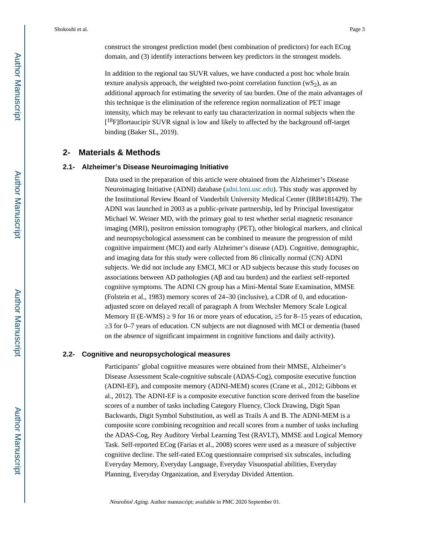Shokouhi et al. Page 3

construct the strongest prediction model (best combination of predictors) for each ECog domain, and (3) identify interactions between key predictors in the strongest models.

In addition to the regional tau SUVR values, we have conducted a post hoc whole brain texture analysis approach, the weighted two-point correlation function  $(wS_2)$ , as an additional approach for estimating the severity of tau burden. One of the main advantages of this technique is the elimination of the reference region normalization of PET image intensity, which may be relevant to early tau characterization in normal subjects when the  $[$ <sup>18</sup>F]flortaucipir SUVR signal is low and likely to affected by the background off-target binding (Baker SL, 2019).

## **2- Materials & Methods**

#### **2.1- Alzheimer's Disease Neuroimaging Initiative**

Data used in the preparation of this article were obtained from the Alzheimer's Disease Neuroimaging Initiative (ADNI) database ([adni.loni.usc.edu\)](http://adni.loni.usc.edu). This study was approved by the Institutional Review Board of Vanderbilt University Medical Center (IRB#181429). The ADNI was launched in 2003 as a public-private partnership, led by Principal Investigator Michael W. Weiner MD, with the primary goal to test whether serial magnetic resonance imaging (MRI), positron emission tomography (PET), other biological markers, and clinical and neuropsychological assessment can be combined to measure the progression of mild cognitive impairment (MCI) and early Alzheimer's disease (AD). Cognitive, demographic, and imaging data for this study were collected from 86 clinically normal (CN) ADNI subjects. We did not include any EMCI, MCI or AD subjects because this study focuses on associations between AD pathologies (Aβ and tau burden) and the earliest self-reported cognitive symptoms. The ADNI CN group has a Mini-Mental State Examination, MMSE (Folstein et al., 1983) memory scores of 24–30 (inclusive), a CDR of 0, and educationadjusted score on delayed recall of paragraph A from Wechsler Memory Scale Logical Memory II (E-WMS)  $\,$  9 for 16 or more years of education,  $\,$  5 for 8–15 years of education, ≥3 for 0–7 years of education. CN subjects are not diagnosed with MCI or dementia (based on the absence of significant impairment in cognitive functions and daily activity).

#### **2.2- Cognitive and neuropsychological measures**

Participants' global cognitive measures were obtained from their MMSE, Alzheimer's Disease Assessment Scale-cognitive subscale (ADAS-Cog), composite executive function (ADNI-EF), and composite memory (ADNI-MEM) scores (Crane et al., 2012; Gibbons et al., 2012). The ADNI-EF is a composite executive function score derived from the baseline scores of a number of tasks including Category Fluency, Clock Drawing, Digit Span Backwards, Digit Symbol Substitution, as well as Trails A and B. The ADNI-MEM is a composite score combining recognition and recall scores from a number of tasks including the ADAS-Cog, Rey Auditory Verbal Learning Test (RAVLT), MMSE and Logical Memory Task. Self-reported ECog (Farias et al., 2008) scores were used as a measure of subjective cognitive decline. The self-rated ECog questionnaire comprised six subscales, including Everyday Memory, Everyday Language, Everyday Visuospatial abilities, Everyday Planning, Everyday Organization, and Everyday Divided Attention.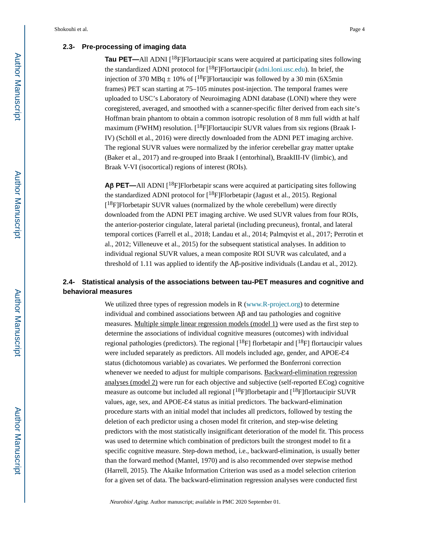## **2.3- Pre-processing of imaging data**

**Tau PET—**All ADNI [<sup>18</sup>F]Flortaucipir scans were acquired at participating sites following the standardized ADNI protocol for  $[18F]$ Flortaucipir ([adni.loni.usc.edu\)](http://adni.loni.usc.edu). In brief, the injection of 370 MBq  $\pm$  10% of [<sup>18</sup>F]Flortaucipir was followed by a 30 min (6X5min) frames) PET scan starting at 75–105 minutes post-injection. The temporal frames were uploaded to USC's Laboratory of Neuroimaging ADNI database (LONI) where they were coregistered, averaged, and smoothed with a scanner-specific filter derived from each site's Hoffman brain phantom to obtain a common isotropic resolution of 8 mm full width at half maximum (FWHM) resolution.  $[18F]$ Flortaucipir SUVR values from six regions (Braak I-IV) (Schöll et al., 2016) were directly downloaded from the ADNI PET imaging archive. The regional SUVR values were normalized by the inferior cerebellar gray matter uptake (Baker et al., 2017) and re-grouped into Braak I (entorhinal), BraakIII-IV (limbic), and Braak V-VI (isocortical) regions of interest (ROIs).

**A**β **PET—**All ADNI [18F]Florbetapir scans were acquired at participating sites following the standardized ADNI protocol for  $[{}^{18}F]F$ lorbetapir (Jagust et al., 2015). Regional [<sup>18</sup>F]Florbetapir SUVR values (normalized by the whole cerebellum) were directly downloaded from the ADNI PET imaging archive. We used SUVR values from four ROIs, the anterior-posterior cingulate, lateral parietal (including precuneus), frontal, and lateral temporal cortices (Farrell et al., 2018; Landau et al., 2014; Palmqvist et al., 2017; Perrotin et al., 2012; Villeneuve et al., 2015) for the subsequent statistical analyses. In addition to individual regional SUVR values, a mean composite ROI SUVR was calculated, and a threshold of 1.11 was applied to identify the Aβ-positive individuals (Landau et al., 2012).

## **2.4- Statistical analysis of the associations between tau-PET measures and cognitive and behavioral measures**

We utilized three types of regression models in R ([www.R-project.org\)](http://www.r-project.org/) to determine individual and combined associations between Aβ and tau pathologies and cognitive measures. Multiple simple linear regression models (model 1) were used as the first step to determine the associations of individual cognitive measures (outcomes) with individual regional pathologies (predictors). The regional  $[18F]$  florbetapir and  $[18F]$  flortaucipir values were included separately as predictors. All models included age, gender, and APOE- $\mathcal{E}4$ status (dichotomous variable) as covariates. We performed the Bonferroni correction whenever we needed to adjust for multiple comparisons. Backward-elimination regression analyses (model 2) were run for each objective and subjective (self-reported ECog) cognitive measure as outcome but included all regional  $[18F]$ florbetapir and  $[18F]$ flortaucipir SUVR values, age, sex, and APOE- $E4$  status as initial predictors. The backward-elimination procedure starts with an initial model that includes all predictors, followed by testing the deletion of each predictor using a chosen model fit criterion, and step-wise deleting predictors with the most statistically insignificant deterioration of the model fit. This process was used to determine which combination of predictors built the strongest model to fit a specific cognitive measure. Step-down method, i.e., backward-elimination, is usually better than the forward method (Mantel, 1970) and is also recommended over stepwise method (Harrell, 2015). The Akaike Information Criterion was used as a model selection criterion for a given set of data. The backward-elimination regression analyses were conducted first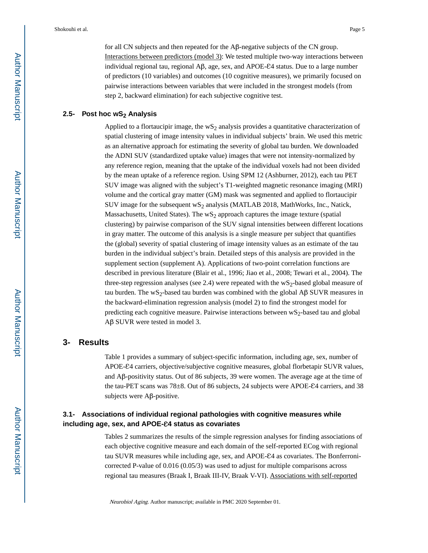for all CN subjects and then repeated for the Aβ-negative subjects of the CN group. Interactions between predictors (model 3): We tested multiple two-way interactions between individual regional tau, regional  $\mathsf{A}\beta$ , age, sex, and  $\mathsf{APOE-}\mathcal{E}4$  status. Due to a large number of predictors (10 variables) and outcomes (10 cognitive measures), we primarily focused on pairwise interactions between variables that were included in the strongest models (from step 2, backward elimination) for each subjective cognitive test.

#### **2.5- Post hoc wS2 Analysis**

Applied to a flortaucipir image, the  $wS_2$  analysis provides a quantitative characterization of spatial clustering of image intensity values in individual subjects' brain. We used this metric as an alternative approach for estimating the severity of global tau burden. We downloaded the ADNI SUV (standardized uptake value) images that were not intensity-normalized by any reference region, meaning that the uptake of the individual voxels had not been divided by the mean uptake of a reference region. Using SPM 12 (Ashburner, 2012), each tau PET SUV image was aligned with the subject's T1-weighted magnetic resonance imaging (MRI) volume and the cortical gray matter (GM) mask was segmented and applied to flortaucipir SUV image for the subsequent  $WS_2$  analysis (MATLAB 2018, MathWorks, Inc., Natick, Massachusetts, United States). The  $wS_2$  approach captures the image texture (spatial clustering) by pairwise comparison of the SUV signal intensities between different locations in gray matter. The outcome of this analysis is a single measure per subject that quantifies the (global) severity of spatial clustering of image intensity values as an estimate of the tau burden in the individual subject's brain. Detailed steps of this analysis are provided in the supplement section (supplement A). Applications of two-point correlation functions are described in previous literature (Blair et al., 1996; Jiao et al., 2008; Tewari et al., 2004). The three-step regression analyses (see 2.4) were repeated with the wS2-based global measure of tau burden. The wS<sub>2</sub>-based tau burden was combined with the global  $\overrightarrow{AB}$  SUVR measures in the backward-elimination regression analysis (model 2) to find the strongest model for predicting each cognitive measure. Pairwise interactions between  $\text{wS}_2$ -based tau and global Aβ SUVR were tested in model 3.

## **3- Results**

Table 1 provides a summary of subject-specific information, including age, sex, number of APOE- $\mathcal{E}4$  carriers, objective/subjective cognitive measures, global florbetapir SUVR values, and Aβ-positivity status. Out of 86 subjects, 39 were women. The average age at the time of the tau-PET scans was 78 $\pm$ 8. Out of 86 subjects, 24 subjects were APOE- $\epsilon$ 4 carriers, and 38 subjects were Aβ-positive.

## **3.1- Associations of individual regional pathologies with cognitive measures while including age, sex, and APOE-**Ɛ**4 status as covariates**

Tables 2 summarizes the results of the simple regression analyses for finding associations of each objective cognitive measure and each domain of the self-reported ECog with regional tau SUVR measures while including age, sex, and APOE- $\mathcal{E}4$  as covariates. The Bonferronicorrected P-value of 0.016 (0.05/3) was used to adjust for multiple comparisons across regional tau measures (Braak I, Braak III-IV, Braak V-VI). Associations with self-reported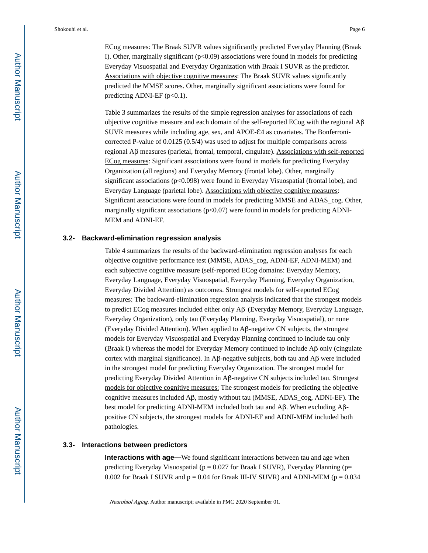ECog measures: The Braak SUVR values significantly predicted Everyday Planning (Braak I). Other, marginally significant  $(p<0.09)$  associations were found in models for predicting Everyday Visuospatial and Everyday Organization with Braak I SUVR as the predictor. Associations with objective cognitive measures: The Braak SUVR values significantly predicted the MMSE scores. Other, marginally significant associations were found for predicting ADNI-EF  $(p<0.1)$ .

Table 3 summarizes the results of the simple regression analyses for associations of each objective cognitive measure and each domain of the self-reported ECog with the regional Aβ SUVR measures while including age, sex, and  $APOE-E4$  as covariates. The Bonferronicorrected P-value of 0.0125 (0.5/4) was used to adjust for multiple comparisons across regional Aβ measures (parietal, frontal, temporal, cingulate). Associations with self-reported ECog measures: Significant associations were found in models for predicting Everyday Organization (all regions) and Everyday Memory (frontal lobe). Other, marginally significant associations (p<0.098) were found in Everyday Visuospatial (frontal lobe), and Everyday Language (parietal lobe). Associations with objective cognitive measures: Significant associations were found in models for predicting MMSE and ADAS\_cog. Other, marginally significant associations ( $p<0.07$ ) were found in models for predicting ADNI-MEM and ADNI-EF.

#### **3.2- Backward-elimination regression analysis**

Table 4 summarizes the results of the backward-elimination regression analyses for each objective cognitive performance test (MMSE, ADAS\_cog, ADNI-EF, ADNI-MEM) and each subjective cognitive measure (self-reported ECog domains: Everyday Memory, Everyday Language, Everyday Visuospatial, Everyday Planning, Everyday Organization, Everyday Divided Attention) as outcomes. Strongest models for self-reported ECog measures: The backward-elimination regression analysis indicated that the strongest models to predict ECog measures included either only Aβ (Everyday Memory, Everyday Language, Everyday Organization), only tau (Everyday Planning, Everyday Visuospatial), or none (Everyday Divided Attention). When applied to Aβ-negative CN subjects, the strongest models for Everyday Visuospatial and Everyday Planning continued to include tau only (Braak I) whereas the model for Everyday Memory continued to include Aβ only (cingulate cortex with marginal significance). In Aβ-negative subjects, both tau and  $\text{A}$ β were included in the strongest model for predicting Everyday Organization. The strongest model for predicting Everyday Divided Attention in Aβ-negative CN subjects included tau. Strongest models for objective cognitive measures: The strongest models for predicting the objective cognitive measures included  $\mathsf{A}\beta$ , mostly without tau (MMSE, ADAS\_cog, ADNI-EF). The best model for predicting ADNI-MEM included both tau and Aβ. When excluding Aβpositive CN subjects, the strongest models for ADNI-EF and ADNI-MEM included both pathologies.

#### **3.3- Interactions between predictors**

**Interactions with age—**We found significant interactions between tau and age when predicting Everyday Visuospatial ( $p = 0.027$  for Braak I SUVR), Everyday Planning ( $p=$ 0.002 for Braak I SUVR and  $p = 0.04$  for Braak III-IV SUVR) and ADNI-MEM ( $p = 0.034$ )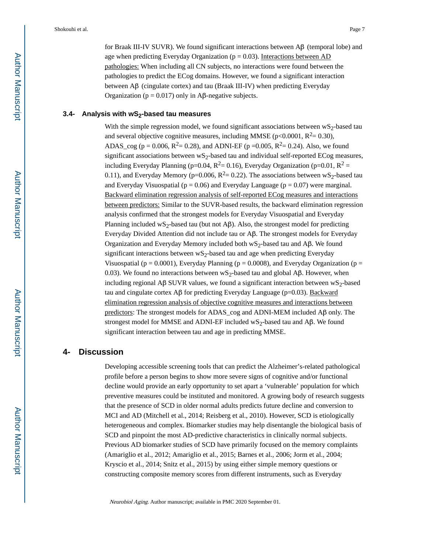for Braak III-IV SUVR). We found significant interactions between Aβ (temporal lobe) and age when predicting Everyday Organization ( $p = 0.03$ ). Interactions between AD pathologies: When including all CN subjects, no interactions were found between the pathologies to predict the ECog domains. However, we found a significant interaction between Aβ (cingulate cortex) and tau (Braak III-IV) when predicting Everyday Organization ( $p = 0.017$ ) only in Aβ-negative subjects.

#### **3.4- Analysis with wS2-based tau measures**

With the simple regression model, we found significant associations between  $wS_2$ -based tau and several objective cognitive measures, including MMSE (p<0.0001,  $R^2 = 0.30$ ), ADAS\_cog ( $p = 0.006$ ,  $R^2 = 0.28$ ), and ADNI-EF ( $p = 0.005$ ,  $R^2 = 0.24$ ). Also, we found significant associations between  $wS_2$ -based tau and individual self-reported ECog measures, including Everyday Planning (p=0.04,  $R^2$  = 0.16), Everyday Organization (p=0.01,  $R^2$  = 0.11), and Everyday Memory (p=0.006,  $R^2$ = 0.22). The associations between wS<sub>2</sub>-based tau and Everyday Visuospatial ( $p = 0.06$ ) and Everyday Language ( $p = 0.07$ ) were marginal. Backward elimination regression analysis of self-reported ECog measures and interactions between predictors: Similar to the SUVR-based results, the backward elimination regression analysis confirmed that the strongest models for Everyday Visuospatial and Everyday Planning included wS<sub>2</sub>-based tau (but not Aβ). Also, the strongest model for predicting Everyday Divided Attention did not include tau or Aβ. The strongest models for Everyday Organization and Everyday Memory included both  $wS_2$ -based tau and Aβ. We found significant interactions between  $wS_2$ -based tau and age when predicting Everyday Visuospatial ( $p = 0.0001$ ), Everyday Planning ( $p = 0.0008$ ), and Everyday Organization ( $p =$ 0.03). We found no interactions between  $WS_2$ -based tau and global Aβ. However, when including regional Aβ SUVR values, we found a significant interaction between  $wS_2$ -based tau and cingulate cortex Aβ for predicting Everyday Language ( $p=0.03$ ). Backward elimination regression analysis of objective cognitive measures and interactions between predictors: The strongest models for ADAS\_cog and ADNI-MEM included Aβ only. The strongest model for MMSE and ADNI-EF included wS<sub>2</sub>-based tau and A $\beta$ . We found significant interaction between tau and age in predicting MMSE.

## **4- Discussion**

Developing accessible screening tools that can predict the Alzheimer's-related pathological profile before a person begins to show more severe signs of cognitive and/or functional decline would provide an early opportunity to set apart a 'vulnerable' population for which preventive measures could be instituted and monitored. A growing body of research suggests that the presence of SCD in older normal adults predicts future decline and conversion to MCI and AD (Mitchell et al., 2014; Reisberg et al., 2010). However, SCD is etiologically heterogeneous and complex. Biomarker studies may help disentangle the biological basis of SCD and pinpoint the most AD-predictive characteristics in clinically normal subjects. Previous AD biomarker studies of SCD have primarily focused on the memory complaints (Amariglio et al., 2012; Amariglio et al., 2015; Barnes et al., 2006; Jorm et al., 2004; Kryscio et al., 2014; Snitz et al., 2015) by using either simple memory questions or constructing composite memory scores from different instruments, such as Everyday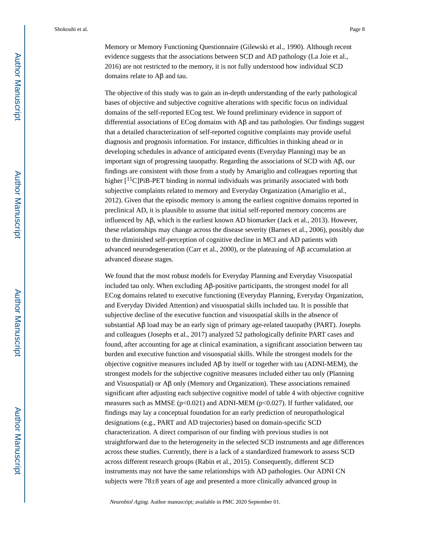Shokouhi et al. Page 8

Memory or Memory Functioning Questionnaire (Gilewski et al., 1990). Although recent evidence suggests that the associations between SCD and AD pathology (La Joie et al., 2016) are not restricted to the memory, it is not fully understood how individual SCD domains relate to Aβ and tau.

The objective of this study was to gain an in-depth understanding of the early pathological bases of objective and subjective cognitive alterations with specific focus on individual domains of the self-reported ECog test. We found preliminary evidence in support of differential associations of ECog domains with Aβ and tau pathologies. Our findings suggest that a detailed characterization of self-reported cognitive complaints may provide useful diagnosis and prognosis information. For instance, difficulties in thinking ahead or in developing schedules in advance of anticipated events (Everyday Planning) may be an important sign of progressing tauopathy. Regarding the associations of SCD with Aβ, our findings are consistent with those from a study by Amariglio and colleagues reporting that higher [<sup>11</sup>C]PiB-PET binding in normal individuals was primarily associated with both subjective complaints related to memory and Everyday Organization (Amariglio et al., 2012). Given that the episodic memory is among the earliest cognitive domains reported in preclinical AD, it is plausible to assume that initial self-reported memory concerns are influenced by Aβ, which is the earliest known AD biomarker (Jack et al., 2013). However, these relationships may change across the disease severity (Barnes et al., 2006), possibly due to the diminished self-perception of cognitive decline in MCI and AD patients with advanced neurodegeneration (Carr et al., 2000), or the plateauing of Aβ accumulation at advanced disease stages.

We found that the most robust models for Everyday Planning and Everyday Visuospatial included tau only. When excluding  $\mathsf{A}\mathsf{B}\text{-}\mathsf{positive}$  participants, the strongest model for all ECog domains related to executive functioning (Everyday Planning, Everyday Organization, and Everyday Divided Attention) and visuospatial skills included tau. It is possible that subjective decline of the executive function and visuospatial skills in the absence of substantial Aβ load may be an early sign of primary age-related tauopathy (PART). Josephs and colleagues (Josephs et al., 2017) analyzed 52 pathologically definite PART cases and found, after accounting for age at clinical examination, a significant association between tau burden and executive function and visuospatial skills. While the strongest models for the objective cognitive measures included Aβ by itself or together with tau (ADNI-MEM), the strongest models for the subjective cognitive measures included either tau only (Planning and Visuospatial) or Aβ only (Memory and Organization). These associations remained significant after adjusting each subjective cognitive model of table 4 with objective cognitive measures such as MMSE ( $p<0.021$ ) and ADNI-MEM ( $p<0.027$ ). If further validated, our findings may lay a conceptual foundation for an early prediction of neuropathological designations (e.g., PART and AD trajectories) based on domain-specific SCD characterization. A direct comparison of our finding with previous studies is not straightforward due to the heterogeneity in the selected SCD instruments and age differences across these studies. Currently, there is a lack of a standardized framework to assess SCD across different research groups (Rabin et al., 2015). Consequently, different SCD instruments may not have the same relationships with AD pathologies. Our ADNI CN subjects were 78±8 years of age and presented a more clinically advanced group in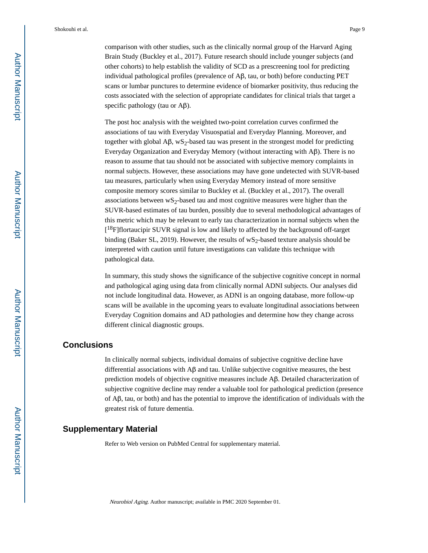Shokouhi et al. Page 9

comparison with other studies, such as the clinically normal group of the Harvard Aging Brain Study (Buckley et al., 2017). Future research should include younger subjects (and other cohorts) to help establish the validity of SCD as a prescreening tool for predicting individual pathological profiles (prevalence of Aβ, tau, or both) before conducting PET scans or lumbar punctures to determine evidence of biomarker positivity, thus reducing the costs associated with the selection of appropriate candidates for clinical trials that target a specific pathology (tau or Aβ).

The post hoc analysis with the weighted two-point correlation curves confirmed the associations of tau with Everyday Visuospatial and Everyday Planning. Moreover, and together with global  $\mathbf{A}\beta$ , wS<sub>2</sub>-based tau was present in the strongest model for predicting Everyday Organization and Everyday Memory (without interacting with Aβ). There is no reason to assume that tau should not be associated with subjective memory complaints in normal subjects. However, these associations may have gone undetected with SUVR-based tau measures, particularly when using Everyday Memory instead of more sensitive composite memory scores similar to Buckley et al. (Buckley et al., 2017). The overall associations between  $\mathbf{w}$ <sub>2</sub>-based tau and most cognitive measures were higher than the SUVR-based estimates of tau burden, possibly due to several methodological advantages of this metric which may be relevant to early tau characterization in normal subjects when the [<sup>18</sup>F]flortaucipir SUVR signal is low and likely to affected by the background off-target binding (Baker SL, 2019). However, the results of  $wS_2$ -based texture analysis should be interpreted with caution until future investigations can validate this technique with pathological data.

In summary, this study shows the significance of the subjective cognitive concept in normal and pathological aging using data from clinically normal ADNI subjects. Our analyses did not include longitudinal data. However, as ADNI is an ongoing database, more follow-up scans will be available in the upcoming years to evaluate longitudinal associations between Everyday Cognition domains and AD pathologies and determine how they change across different clinical diagnostic groups.

## **Conclusions**

In clinically normal subjects, individual domains of subjective cognitive decline have differential associations with  $\mathbf{A}\beta$  and tau. Unlike subjective cognitive measures, the best prediction models of objective cognitive measures include Aβ. Detailed characterization of subjective cognitive decline may render a valuable tool for pathological prediction (presence of Aβ, tau, or both) and has the potential to improve the identification of individuals with the greatest risk of future dementia.

## **Supplementary Material**

Refer to Web version on PubMed Central for supplementary material.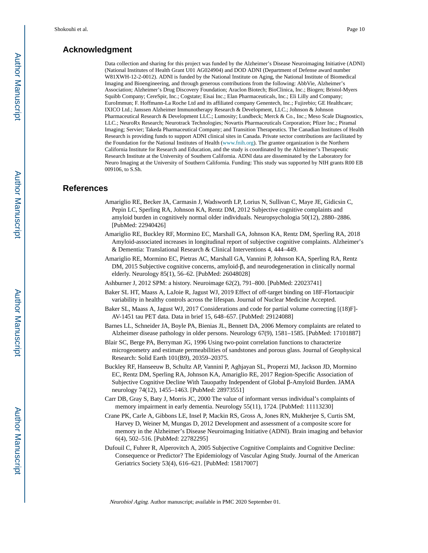## **Acknowledgment**

Data collection and sharing for this project was funded by the Alzheimer's Disease Neuroimaging Initiative (ADNI) (National Institutes of Health Grant U01 AG024904) and DOD ADNI (Department of Defense award number W81XWH-12-2-0012). ADNI is funded by the National Institute on Aging, the National Institute of Biomedical Imaging and Bioengineering, and through generous contributions from the following: AbbVie, Alzheimer's Association; Alzheimer's Drug Discovery Foundation; Araclon Biotech; BioClinica, Inc.; Biogen; Bristol-Myers Squibb Company; CereSpir, Inc.; Cogstate; Eisai Inc.; Elan Pharmaceuticals, Inc.; Eli Lilly and Company; EuroImmun; F. Hoffmann-La Roche Ltd and its affiliated company Genentech, Inc.; Fujirebio; GE Healthcare; IXICO Ltd.; Janssen Alzheimer Immunotherapy Research & Development, LLC.; Johnson & Johnson Pharmaceutical Research & Development LLC.; Lumosity; Lundbeck; Merck & Co., Inc.; Meso Scale Diagnostics, LLC.; NeuroRx Research; Neurotrack Technologies; Novartis Pharmaceuticals Corporation; Pfizer Inc.; Piramal Imaging; Servier; Takeda Pharmaceutical Company; and Transition Therapeutics. The Canadian Institutes of Health Research is providing funds to support ADNI clinical sites in Canada. Private sector contributions are facilitated by the Foundation for the National Institutes of Health ([www.fnih.org\)](http://www.fnih.org/). The grantee organization is the Northern California Institute for Research and Education, and the study is coordinated by the Alzheimer's Therapeutic Research Institute at the University of Southern California. ADNI data are disseminated by the Laboratory for Neuro Imaging at the University of Southern California. Funding: This study was supported by NIH grants R00 EB 009106, to S.Sh.

#### **References**

- Amariglio RE, Becker JA, Carmasin J, Wadsworth LP, Lorius N, Sullivan C, Maye JE, Gidicsin C, Pepin LC, Sperling RA, Johnson KA, Rentz DM, 2012 Subjective cognitive complaints and amyloid burden in cognitively normal older individuals. Neuropsychologia 50(12), 2880–2886. [PubMed: 22940426]
- Amariglio RE, Buckley RF, Mormino EC, Marshall GA, Johnson KA, Rentz DM, Sperling RA, 2018 Amyloid-associated increases in longitudinal report of subjective cognitive complaints. Alzheimer's & Dementia: Translational Research & Clinical Interventions 4, 444–449.
- Amariglio RE, Mormino EC, Pietras AC, Marshall GA, Vannini P, Johnson KA, Sperling RA, Rentz DM, 2015 Subjective cognitive concerns, amyloid-β, and neurodegeneration in clinically normal elderly. Neurology 85(1), 56–62. [PubMed: 26048028]
- Ashburner J, 2012 SPM: a history. Neuroimage 62(2), 791–800. [PubMed: 22023741]
- Baker SL HT, Maass A, LaJoie R, Jagust WJ, 2019 Effect of off-target binding on 18F-Flortaucipir variability in healthy controls across the lifespan. Journal of Nuclear Medicine Accepted.
- Baker SL, Maass A, Jagust WJ, 2017 Considerations and code for partial volume correcting [(18)F]- AV-1451 tau PET data. Data in brief 15, 648–657. [PubMed: 29124088]
- Barnes LL, Schneider JA, Boyle PA, Bienias JL, Bennett DA, 2006 Memory complaints are related to Alzheimer disease pathology in older persons. Neurology 67(9), 1581–1585. [PubMed: 17101887]
- Blair SC, Berge PA, Berryman JG, 1996 Using two-point correlation functions to characterize microgeometry and estimate permeabilities of sandstones and porous glass. Journal of Geophysical Research: Solid Earth 101(B9), 20359–20375.
- Buckley RF, Hanseeuw B, Schultz AP, Vannini P, Aghjayan SL, Properzi MJ, Jackson JD, Mormino EC, Rentz DM, Sperling RA, Johnson KA, Amariglio RE, 2017 Region-Specific Association of Subjective Cognitive Decline With Tauopathy Independent of Global β-Amyloid Burden. JAMA neurology 74(12), 1455–1463. [PubMed: 28973551]
- Carr DB, Gray S, Baty J, Morris JC, 2000 The value of informant versus individual's complaints of memory impairment in early dementia. Neurology 55(11), 1724. [PubMed: 11113230]
- Crane PK, Carle A, Gibbons LE, Insel P, Mackin RS, Gross A, Jones RN, Mukherjee S, Curtis SM, Harvey D, Weiner M, Mungas D, 2012 Development and assessment of a composite score for memory in the Alzheimer's Disease Neuroimaging Initiative (ADNI). Brain imaging and behavior 6(4), 502–516. [PubMed: 22782295]
- Dufouil C, Fuhrer R, Alperovitch A, 2005 Subjective Cognitive Complaints and Cognitive Decline: Consequence or Predictor? The Epidemiology of Vascular Aging Study. Journal of the American Geriatrics Society 53(4), 616–621. [PubMed: 15817007]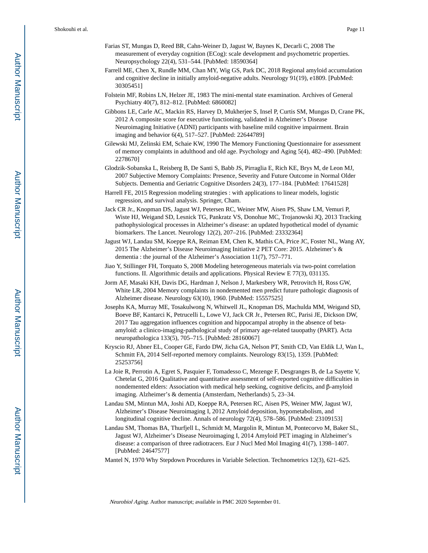- Farias ST, Mungas D, Reed BR, Cahn-Weiner D, Jagust W, Baynes K, Decarli C, 2008 The measurement of everyday cognition (ECog): scale development and psychometric properties. Neuropsychology 22(4), 531–544. [PubMed: 18590364]
- Farrell ME, Chen X, Rundle MM, Chan MY, Wig GS, Park DC, 2018 Regional amyloid accumulation and cognitive decline in initially amyloid-negative adults. Neurology 91(19), e1809. [PubMed: 30305451]
- Folstein MF, Robins LN, Helzer JE, 1983 The mini-mental state examination. Archives of General Psychiatry 40(7), 812–812. [PubMed: 6860082]
- Gibbons LE, Carle AC, Mackin RS, Harvey D, Mukherjee S, Insel P, Curtis SM, Mungas D, Crane PK, 2012 A composite score for executive functioning, validated in Alzheimer's Disease Neuroimaging Initiative (ADNI) participants with baseline mild cognitive impairment. Brain imaging and behavior 6(4), 517–527. [PubMed: 22644789]
- Gilewski MJ, Zelinski EM, Schaie KW, 1990 The Memory Functioning Questionnaire for assessment of memory complaints in adulthood and old age. Psychology and Aging 5(4), 482–490. [PubMed: 2278670]
- Glodzik-Sobanska L, Reisberg B, De Santi S, Babb JS, Pirraglia E, Rich KE, Brys M, de Leon MJ, 2007 Subjective Memory Complaints: Presence, Severity and Future Outcome in Normal Older Subjects. Dementia and Geriatric Cognitive Disorders 24(3), 177–184. [PubMed: 17641528]
- Harrell FE, 2015 Regression modeling strategies : with applications to linear models, logistic regression, and survival analysis. Springer, Cham.
- Jack CR Jr., Knopman DS, Jagust WJ, Petersen RC, Weiner MW, Aisen PS, Shaw LM, Vemuri P, Wiste HJ, Weigand SD, Lesnick TG, Pankratz VS, Donohue MC, Trojanowski JQ, 2013 Tracking pathophysiological processes in Alzheimer's disease: an updated hypothetical model of dynamic biomarkers. The Lancet. Neurology 12(2), 207–216. [PubMed: 23332364]
- Jagust WJ, Landau SM, Koeppe RA, Reiman EM, Chen K, Mathis CA, Price JC, Foster NL, Wang AY, 2015 The Alzheimer's Disease Neuroimaging Initiative 2 PET Core: 2015. Alzheimer's & dementia : the journal of the Alzheimer's Association 11(7), 757–771.
- Jiao Y, Stillinger FH, Torquato S, 2008 Modeling heterogeneous materials via two-point correlation functions. II. Algorithmic details and applications. Physical Review E 77(3), 031135.
- Jorm AF, Masaki KH, Davis DG, Hardman J, Nelson J, Markesbery WR, Petrovitch H, Ross GW, White LR, 2004 Memory complaints in nondemented men predict future pathologic diagnosis of Alzheimer disease. Neurology 63(10), 1960. [PubMed: 15557525]
- Josephs KA, Murray ME, Tosakulwong N, Whitwell JL, Knopman DS, Machulda MM, Weigand SD, Boeve BF, Kantarci K, Petrucelli L, Lowe VJ, Jack CR Jr., Petersen RC, Parisi JE, Dickson DW, 2017 Tau aggregation influences cognition and hippocampal atrophy in the absence of betaamyloid: a clinico-imaging-pathological study of primary age-related tauopathy (PART). Acta neuropathologica 133(5), 705–715. [PubMed: 28160067]
- Kryscio RJ, Abner EL, Cooper GE, Fardo DW, Jicha GA, Nelson PT, Smith CD, Van Eldik LJ, Wan L, Schmitt FA, 2014 Self-reported memory complaints. Neurology 83(15), 1359. [PubMed: 25253756]
- La Joie R, Perrotin A, Egret S, Pasquier F, Tomadesso C, Mezenge F, Desgranges B, de La Sayette V, Chetelat G, 2016 Qualitative and quantitative assessment of self-reported cognitive difficulties in nondemented elders: Association with medical help seeking, cognitive deficits, and β-amyloid imaging. Alzheimer's & dementia (Amsterdam, Netherlands) 5, 23–34.
- Landau SM, Mintun MA, Joshi AD, Koeppe RA, Petersen RC, Aisen PS, Weiner MW, Jagust WJ, Alzheimer's Disease Neuroimaging I, 2012 Amyloid deposition, hypometabolism, and longitudinal cognitive decline. Annals of neurology 72(4), 578–586. [PubMed: 23109153]
- Landau SM, Thomas BA, Thurfjell L, Schmidt M, Margolin R, Mintun M, Pontecorvo M, Baker SL, Jagust WJ, Alzheimer's Disease Neuroimaging I, 2014 Amyloid PET imaging in Alzheimer's disease: a comparison of three radiotracers. Eur J Nucl Med Mol Imaging 41(7), 1398–1407. [PubMed: 24647577]
- Mantel N, 1970 Why Stepdown Procedures in Variable Selection. Technometrics 12(3), 621–625.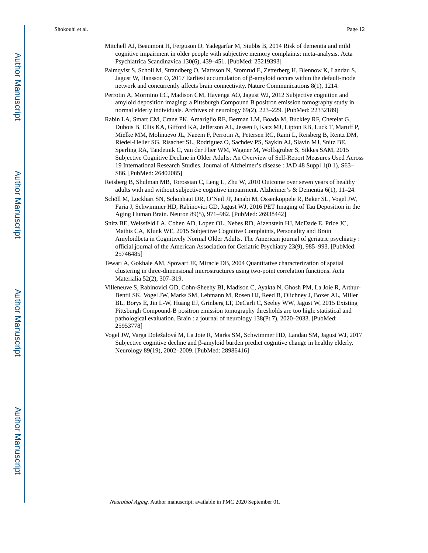- Mitchell AJ, Beaumont H, Ferguson D, Yadegarfar M, Stubbs B, 2014 Risk of dementia and mild cognitive impairment in older people with subjective memory complaints: meta-analysis. Acta Psychiatrica Scandinavica 130(6), 439–451. [PubMed: 25219393]
- Palmqvist S, Scholl M, Strandberg O, Mattsson N, Stomrud E, Zetterberg H, Blennow K, Landau S, Jagust W, Hansson O, 2017 Earliest accumulation of β-amyloid occurs within the default-mode network and concurrently affects brain connectivity. Nature Communications 8(1), 1214.
- Perrotin A, Mormino EC, Madison CM, Hayenga AO, Jagust WJ, 2012 Subjective cognition and amyloid deposition imaging: a Pittsburgh Compound B positron emission tomography study in normal elderly individuals. Archives of neurology 69(2), 223–229. [PubMed: 22332189]
- Rabin LA, Smart CM, Crane PK, Amariglio RE, Berman LM, Boada M, Buckley RF, Chetelat G, Dubois B, Ellis KA, Gifford KA, Jefferson AL, Jessen F, Katz MJ, Lipton RB, Luck T, Maruff P, Mielke MM, Molinuevo JL, Naeem F, Perrotin A, Petersen RC, Rami L, Reisberg B, Rentz DM, Riedel-Heller SG, Risacher SL, Rodriguez O, Sachdev PS, Saykin AJ, Slavin MJ, Snitz BE, Sperling RA, Tandetnik C, van der Flier WM, Wagner M, Wolfsgruber S, Sikkes SAM, 2015 Subjective Cognitive Decline in Older Adults: An Overview of Self-Report Measures Used Across 19 International Research Studies. Journal of Alzheimer's disease : JAD 48 Suppl 1(0 1), S63– S86. [PubMed: 26402085]
- Reisberg B, Shulman MB, Torossian C, Leng L, Zhu W, 2010 Outcome over seven years of healthy adults with and without subjective cognitive impairment. Alzheimer's & Dementia 6(1), 11–24.
- Schöll M, Lockhart SN, Schonhaut DR, O'Neil JP, Janabi M, Ossenkoppele R, Baker SL, Vogel JW, Faria J, Schwimmer HD, Rabinovici GD, Jagust WJ, 2016 PET Imaging of Tau Deposition in the Aging Human Brain. Neuron 89(5), 971–982. [PubMed: 26938442]
- Snitz BE, Weissfeld LA, Cohen AD, Lopez OL, Nebes RD, Aizenstein HJ, McDade E, Price JC, Mathis CA, Klunk WE, 2015 Subjective Cognitive Complaints, Personality and Brain Amyloidbeta in Cognitively Normal Older Adults. The American journal of geriatric psychiatry : official journal of the American Association for Geriatric Psychiatry 23(9), 985–993. [PubMed: 25746485]
- Tewari A, Gokhale AM, Spowart JE, Miracle DB, 2004 Quantitative characterization of spatial clustering in three-dimensional microstructures using two-point correlation functions. Acta Materialia 52(2), 307–319.
- Villeneuve S, Rabinovici GD, Cohn-Sheehy BI, Madison C, Ayakta N, Ghosh PM, La Joie R, Arthur-Bentil SK, Vogel JW, Marks SM, Lehmann M, Rosen HJ, Reed B, Olichney J, Boxer AL, Miller BL, Borys E, Jin L-W, Huang EJ, Grinberg LT, DeCarli C, Seeley WW, Jagust W, 2015 Existing Pittsburgh Compound-B positron emission tomography thresholds are too high: statistical and pathological evaluation. Brain : a journal of neurology 138(Pt 7), 2020–2033. [PubMed: 25953778]
- Vogel JW, Varga Doležalová M, La Joie R, Marks SM, Schwimmer HD, Landau SM, Jagust WJ, 2017 Subjective cognitive decline and β-amyloid burden predict cognitive change in healthy elderly. Neurology 89(19), 2002–2009. [PubMed: 28986416]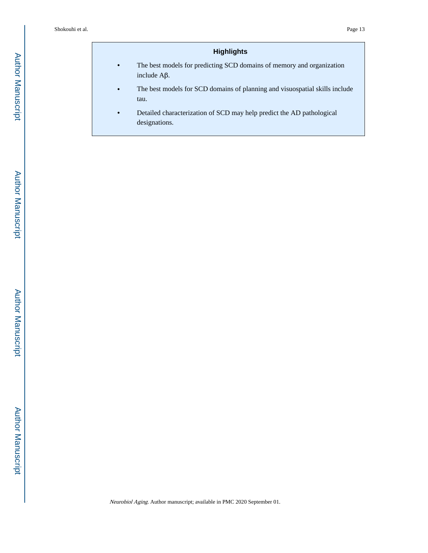## **Highlights**

- **•** The best models for predicting SCD domains of memory and organization include Aβ.
- **•** The best models for SCD domains of planning and visuospatial skills include tau.
- **•** Detailed characterization of SCD may help predict the AD pathological designations.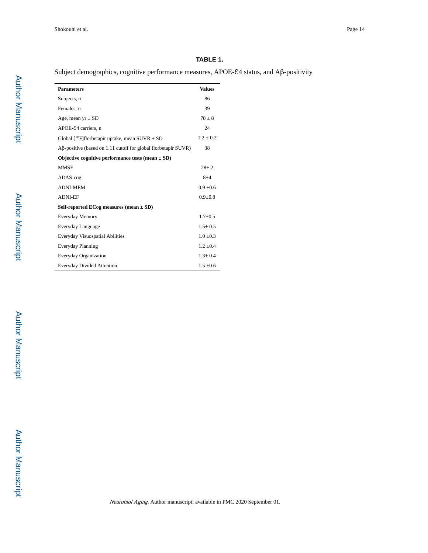## **TABLE 1.**

Subject demographics, cognitive performance measures, APOE-ε4 status, and Aβ-positivity

| <b>Parameters</b>                                                                  | <b>Values</b> |  |  |  |  |  |
|------------------------------------------------------------------------------------|---------------|--|--|--|--|--|
| Subjects, n                                                                        | 86            |  |  |  |  |  |
| Females, n                                                                         | 39            |  |  |  |  |  |
| Age, mean $yr \pm SD$                                                              | $78 \pm 8$    |  |  |  |  |  |
| APOE-£4 carriers, n                                                                | 24            |  |  |  |  |  |
| Global $[{}^{18}F]$ florbetapir uptake, mean SUVR $\pm$ SD                         | $1.2 \pm 0.2$ |  |  |  |  |  |
| $\overrightarrow{AB}$ -positive (based on 1.11 cutoff for global florbetapir SUVR) | 38            |  |  |  |  |  |
| Objective cognitive performance tests (mean $\pm$ SD)                              |               |  |  |  |  |  |
| <b>MMSE</b>                                                                        | $28 + 2$      |  |  |  |  |  |
| ADAS-cog                                                                           | $8 + 4$       |  |  |  |  |  |
| <b>ADNI-MEM</b>                                                                    | $0.9 \pm 0.6$ |  |  |  |  |  |
| <b>ADNI-EF</b>                                                                     | $0.9 + 0.8$   |  |  |  |  |  |
| Self-reported ECog measures (mean $\pm$ SD)                                        |               |  |  |  |  |  |
| Everyday Memory                                                                    | $1.7 + 0.5$   |  |  |  |  |  |
| Everyday Language                                                                  | $1.5 \pm 0.5$ |  |  |  |  |  |
| Everyday Visuospatial Abilities                                                    | $1.0 \pm 0.3$ |  |  |  |  |  |
| <b>Everyday Planning</b>                                                           | $1.2 \pm 0.4$ |  |  |  |  |  |
| Everyday Organization                                                              | $1.3 \pm 0.4$ |  |  |  |  |  |
| <b>Everyday Divided Attention</b>                                                  | $1.5 \pm 0.6$ |  |  |  |  |  |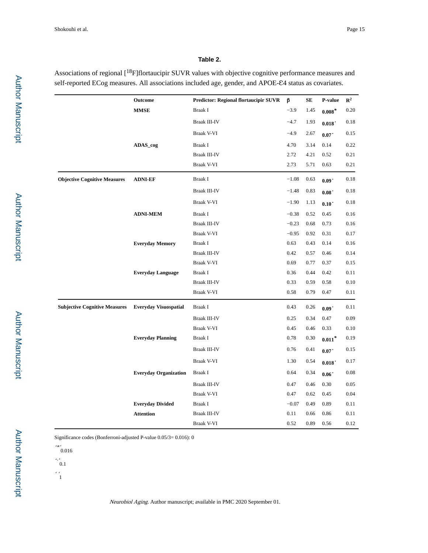## **Table 2.**

Associations of regional [<sup>18</sup>F]flortaucipir SUVR values with objective cognitive performance measures and self-reported ECog measures. All associations included age, gender, and APOE-£4 status as covariates.

|                                      | Outcome                      | <b>Predictor: Regional flortaucipir SUVR</b> | β       | <b>SE</b> | P-value             | $\mathbb{R}^2$ |
|--------------------------------------|------------------------------|----------------------------------------------|---------|-----------|---------------------|----------------|
|                                      | <b>MMSE</b>                  | Braak I                                      |         | 1.45      | $0.008*$            | 0.20           |
|                                      |                              | Braak III-IV                                 | $-4.7$  | 1.93      | 0.018               | 0.18           |
|                                      |                              | Braak V-VI                                   | $-4.9$  | 2.67      | 0.07                | 0.15           |
|                                      | ADAS_cog                     | Braak I                                      | 4.70    | 3.14      | 0.14                | 0.22           |
|                                      |                              | Braak III-IV                                 | 2.72    | 4.21      | 0.52                | 0.21           |
|                                      |                              | Braak V-VI                                   | 2.73    | 5.71      | 0.63                | 0.21           |
| <b>Objective Cognitive Measures</b>  | <b>ADNI-EF</b>               | Braak I                                      | $-1.08$ | 0.63      | 0.09 <sup>°</sup>   | 0.18           |
|                                      |                              | <b>Braak III-IV</b>                          | $-1.48$ | 0.83      | $0.08^{\degree}$    | 0.18           |
|                                      |                              | Braak V-VI                                   | $-1.90$ | 1.13      | 0.10                | 0.18           |
|                                      | <b>ADNI-MEM</b>              | Braak I                                      | $-0.38$ | 0.52      | 0.45                | 0.16           |
|                                      |                              | <b>Braak III-IV</b>                          | $-0.23$ | 0.68      | 0.73                | 0.16           |
|                                      |                              | <b>Braak V-VI</b>                            | $-0.95$ | 0.92      | 0.31                | 0.17           |
|                                      | <b>Everyday Memory</b>       | Braak I                                      | 0.63    | 0.43      | 0.14                | 0.16           |
|                                      |                              | <b>Braak III-IV</b>                          | 0.42    | 0.57      | 0.46                | 0.14           |
|                                      |                              | Braak V-VI                                   | 0.69    | 0.77      | 0.37                | 0.15           |
|                                      | <b>Everyday Language</b>     | Braak I                                      | 0.36    | 0.44      | 0.42                | 0.11           |
|                                      |                              | <b>Braak III-IV</b>                          | 0.33    | 0.59      | 0.58                | 0.10           |
|                                      |                              | Braak V-VI                                   | 0.58    | 0.79      | 0.47                | 0.11           |
| <b>Subjective Cognitive Measures</b> | <b>Everyday Visuospatial</b> | Braak I                                      | 0.43    | 0.26      | 0.09                | 0.11           |
|                                      |                              | <b>Braak III-IV</b>                          | 0.25    | 0.34      | 0.47                | 0.09           |
|                                      |                              | Braak V-VI                                   | 0.45    | 0.46      | 0.33                | 0.10           |
|                                      | <b>Everyday Planning</b>     | Braak I                                      | 0.78    | 0.30      | $0.011*$            | 0.19           |
|                                      |                              | <b>Braak III-IV</b>                          | 0.76    | 0.41      | 0.07                | 0.15           |
|                                      |                              | Braak V-VI                                   | 1.30    | 0.54      | 0.018               | 0.17           |
|                                      | <b>Everyday Organization</b> | Braak I                                      | 0.64    | 0.34      | $0.06$ <sup>*</sup> | 0.08           |
|                                      |                              | <b>Braak III-IV</b>                          | 0.47    | 0.46      | 0.30                | 0.05           |
|                                      |                              | Braak V-VI                                   | 0.47    | 0.62      | 0.45                | 0.04           |
|                                      | <b>Everyday Divided</b>      | Braak I                                      | $-0.07$ | 0.49      | 0.89                | 0.11           |
|                                      | <b>Attention</b>             | <b>Braak III-IV</b>                          | 0.11    | 0.66      | 0.86                | 0.11           |
|                                      |                              | Braak V-VI                                   | 0.52    | 0.89      | 0.56                | 0.12           |

Significance codes (Bonferroni-adjusted P-value 0.05/3= 0.016): 0

'\*' 0.016

- $\begin{array}{c} \n \cdot \\
0.1\n \end{array}$
- 
- $\cdot \frac{1}{1}$

 Author Manuscript **Author Manuscript**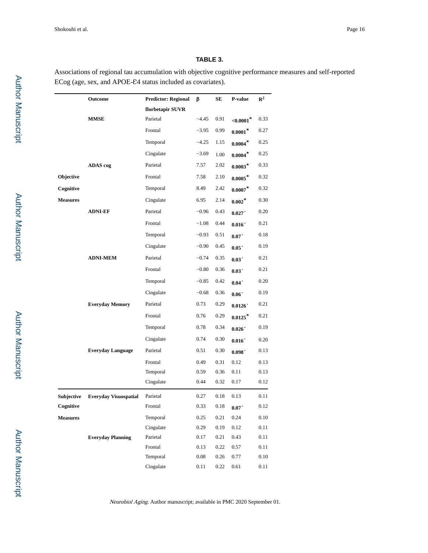## **TABLE 3.**

Associations of regional tau accumulation with objective cognitive performance measures and self-reported ECog (age, sex, and APOE-£4 status included as covariates).

|                 | Outcome                      | <b>Predictor: Regional</b> | β        | SЕ   | P-value               | $\mathbb{R}^2$ |
|-----------------|------------------------------|----------------------------|----------|------|-----------------------|----------------|
|                 |                              | florbetapir SUVR           |          |      |                       |                |
|                 | <b>MMSE</b>                  | Parietal                   | $-4.45$  | 0.91 | ${<}0.0001*$          | 0.33           |
|                 |                              | Frontal                    | $-3.95$  | 0.99 | $0.0001*$             | 0.27           |
|                 |                              | Temporal                   | $-4.25$  | 1.15 | $0.0004*$             | 0.25           |
|                 |                              | Cingulate                  | $-3.69$  | 1.00 | $0.0004*$             | 0.25           |
|                 | ADAS cog                     | Parietal                   | 7.57     | 2.02 | $0.0003*$             | 0.33           |
| Objective       |                              | Frontal                    | 7.58     | 2.10 | $0.0005*$             | 0.32           |
| Cognitive       |                              | Temporal                   | 8.49     | 2.42 | $0.0007*$             | 0.32           |
| <b>Measures</b> |                              | Cingulate                  | 6.95     | 2.14 | $0.002*$              | 0.30           |
|                 | <b>ADNI-EF</b>               | Parietal                   | $-0.96$  | 0.43 | 0.027                 | 0.20           |
|                 |                              | Frontal                    | $-1.08$  | 0.44 | 0.016                 | 0.21           |
|                 |                              | Temporal                   | $-0.93$  | 0.51 | 0.07                  | 0.18           |
|                 |                              | Cingulate                  | $-0.90$  | 0.45 | 0.05                  | 0.19           |
|                 | <b>ADNI-MEM</b>              | Parietal                   | $-0.74$  | 0.35 | 0.03                  | 0.21           |
|                 |                              | Frontal                    | $-0.80$  | 0.36 | 0.03                  | 0.21           |
|                 |                              | Temporal                   | $-0.85$  | 0.42 | 0.04                  | 0.20           |
|                 |                              | Cingulate                  | $-0.68$  | 0.36 | 0.06                  | 0.19           |
|                 | <b>Everyday Memory</b>       | Parietal                   | 0.73     | 0.29 | 0.0126'               | 0.21           |
|                 |                              | Frontal                    | 0.76     | 0.29 | $0.0125$ <sup>*</sup> | 0.21           |
|                 |                              | Temporal                   | 0.78     | 0.34 | 0.026                 | 0.19           |
|                 |                              | Cingulate                  | 0.74     | 0.30 | 0.016                 | 0.20           |
|                 | <b>Everyday Language</b>     | Parietal                   | 0.51     | 0.30 | 0.098 <sup>°</sup>    | 0.13           |
|                 |                              | Frontal                    | 0.49     | 0.31 | 0.12                  | 0.13           |
|                 |                              | Temporal                   | 0.59     | 0.36 | 0.11                  | 0.13           |
|                 |                              | Cingulate                  | 0.44     | 0.32 | 0.17                  | 0.12           |
| Subjective      | <b>Everyday Visuospatial</b> | Parietal                   | 0.27     | 0.18 | 0.13                  | 0.11           |
| Cognitive       |                              | Frontal                    | 0.33     | 0.18 | 0.07                  | 0.12           |
| <b>Measures</b> |                              | Temporal                   | 0.25     | 0.21 | 0.24                  | 0.10           |
|                 |                              | Cingulate                  | 0.29     | 0.19 | 0.12                  | 0.11           |
|                 | <b>Everyday Planning</b>     | Parietal                   | 0.17     | 0.21 | 0.43                  | 0.11           |
|                 |                              | Frontal                    | 0.13     | 0.22 | $0.57\,$              | 0.11           |
|                 |                              | Temporal                   | 0.08     | 0.26 | 0.77                  | 0.10           |
|                 |                              | Cingulate                  | $0.11\,$ | 0.22 | 0.61                  | 0.11           |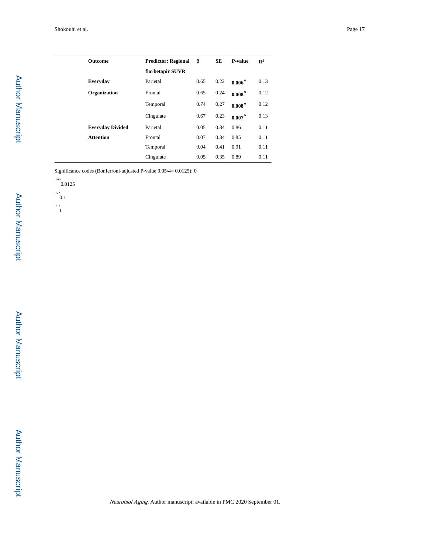| <b>Outcome</b>          | <b>Predictor: Regional</b> | β    | SE   | <b>P-value</b> | $\mathbb{R}^2$ |
|-------------------------|----------------------------|------|------|----------------|----------------|
|                         | florbetapir SUVR           |      |      |                |                |
| Everyday                | Parietal                   | 0.65 | 0.22 | $0.006*$       | 0.13           |
| Organization            | Frontal                    | 0.65 | 0.24 | $0.008*$       | 0.12           |
|                         | Temporal                   | 0.74 | 0.27 | $0.008*$       | 0.12           |
|                         | Cingulate                  | 0.67 | 0.23 | $0.007*$       | 0.13           |
| <b>Everyday Divided</b> | Parietal                   | 0.05 | 0.34 | 0.86           | 0.11           |
| <b>Attention</b>        | Frontal                    | 0.07 | 0.34 | 0.85           | 0.11           |
|                         | Temporal                   | 0.04 | 0.41 | 0.91           | 0.11           |
|                         | Cingulate                  | 0.05 | 0.35 | 0.89           | 0.11           |

Significance codes (Bonferroni-adjusted P-value 0.05/4= 0.0125): 0

'\*' 0.0125



 $\cdot \frac{1}{1}$